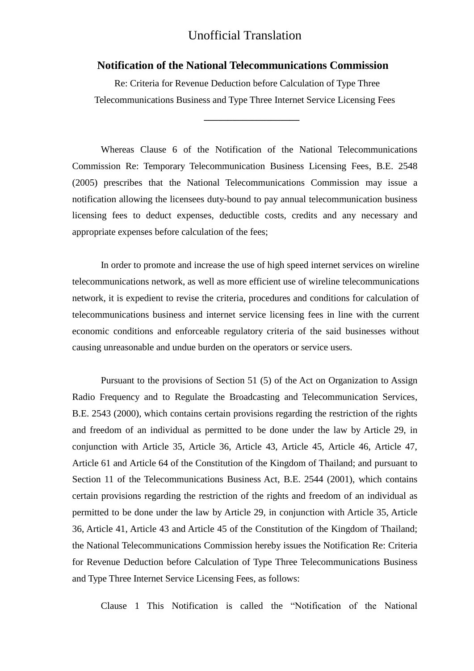## Unofficial Translation

## **Notification of the National Telecommunications Commission**

 Re: Criteria for Revenue Deduction before Calculation of Type Three Telecommunications Business and Type Three Internet Service Licensing Fees

**\_\_\_\_\_\_\_\_\_\_\_\_\_\_\_\_\_\_\_\_**

Whereas Clause 6 of the Notification of the National Telecommunications Commission Re: Temporary Telecommunication Business Licensing Fees, B.E. 2548 (2005) prescribes that the National Telecommunications Commission may issue a notification allowing the licensees duty-bound to pay annual telecommunication business licensing fees to deduct expenses, deductible costs, credits and any necessary and appropriate expenses before calculation of the fees;

In order to promote and increase the use of high speed internet services on wireline telecommunications network, as well as more efficient use of wireline telecommunications network, it is expedient to revise the criteria, procedures and conditions for calculation of telecommunications business and internet service licensing fees in line with the current economic conditions and enforceable regulatory criteria of the said businesses without causing unreasonable and undue burden on the operators or service users.

Pursuant to the provisions of Section 51 (5) of the Act on Organization to Assign Radio Frequency and to Regulate the Broadcasting and Telecommunication Services, B.E. 2543 (2000), which contains certain provisions regarding the restriction of the rights and freedom of an individual as permitted to be done under the law by Article 29, in conjunction with Article 35, Article 36, Article 43, Article 45, Article 46, Article 47, Article 61 and Article 64 of the Constitution of the Kingdom of Thailand; and pursuant to Section 11 of the Telecommunications Business Act, B.E. 2544 (2001), which contains certain provisions regarding the restriction of the rights and freedom of an individual as permitted to be done under the law by Article 29, in conjunction with Article 35, Article 36, Article 41, Article 43 and Article 45 of the Constitution of the Kingdom of Thailand; the National Telecommunications Commission hereby issues the Notification Re: Criteria for Revenue Deduction before Calculation of Type Three Telecommunications Business and Type Three Internet Service Licensing Fees, as follows:

Clause 1 This Notification is called the "Notification of the National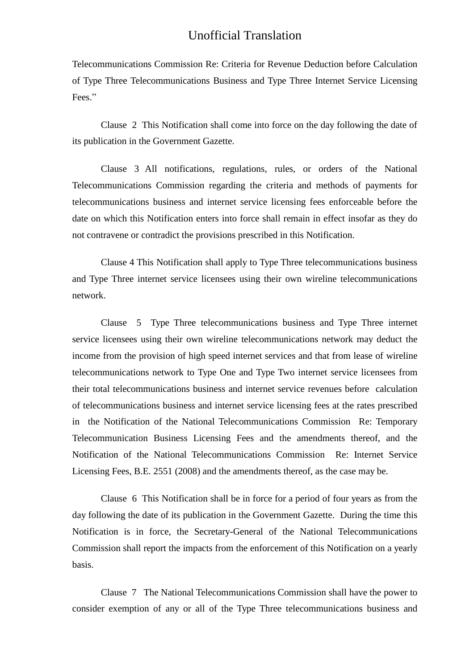## Unofficial Translation

Telecommunications Commission Re: Criteria for Revenue Deduction before Calculation of Type Three Telecommunications Business and Type Three Internet Service Licensing Fees."

Clause 2 This Notification shall come into force on the day following the date of its publication in the Government Gazette.

Clause 3 All notifications, regulations, rules, or orders of the National Telecommunications Commission regarding the criteria and methods of payments for telecommunications business and internet service licensing fees enforceable before the date on which this Notification enters into force shall remain in effect insofar as they do not contravene or contradict the provisions prescribed in this Notification.

Clause 4 This Notification shall apply to Type Three telecommunications business and Type Three internet service licensees using their own wireline telecommunications network.

Clause 5 Type Three telecommunications business and Type Three internet service licensees using their own wireline telecommunications network may deduct the income from the provision of high speed internet services and that from lease of wireline telecommunications network to Type One and Type Two internet service licensees from their total telecommunications business and internet service revenues before calculation of telecommunications business and internet service licensing fees at the rates prescribed in the Notification of the National Telecommunications Commission Re: Temporary Telecommunication Business Licensing Fees and the amendments thereof, and the Notification of the National Telecommunications Commission Re: Internet Service Licensing Fees, B.E. 2551 (2008) and the amendments thereof, as the case may be.

Clause 6 This Notification shall be in force for a period of four years as from the day following the date of its publication in the Government Gazette. During the time this Notification is in force, the Secretary-General of the National Telecommunications Commission shall report the impacts from the enforcement of this Notification on a yearly basis.

Clause 7 The National Telecommunications Commission shall have the power to consider exemption of any or all of the Type Three telecommunications business and